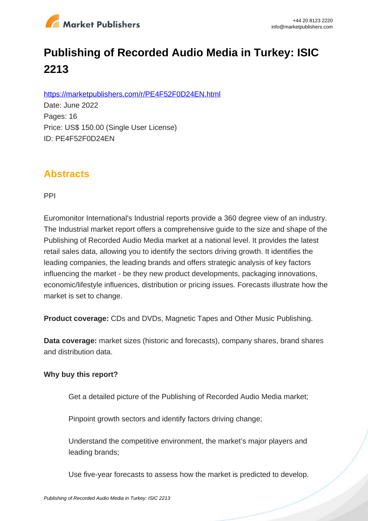

# **Publishing of Recorded Audio Media in Turkey: ISIC 2213**

https://marketpublishers.com/r/PE4F52F0D24EN.html

Date: June 2022 Pages: 16 Price: US\$ 150.00 (Single User License) ID: PE4F52F0D24EN

## **Abstracts**

PPI

Euromonitor International's Industrial reports provide a 360 degree view of an industry. The Industrial market report offers a comprehensive guide to the size and shape of the Publishing of Recorded Audio Media market at a national level. It provides the latest retail sales data, allowing you to identify the sectors driving growth. It identifies the leading companies, the leading brands and offers strategic analysis of key factors influencing the market - be they new product developments, packaging innovations, economic/lifestyle influences, distribution or pricing issues. Forecasts illustrate how the market is set to change.

**Product coverage:** CDs and DVDs, Magnetic Tapes and Other Music Publishing.

**Data coverage:** market sizes (historic and forecasts), company shares, brand shares and distribution data.

#### **Why buy this report?**

Get a detailed picture of the Publishing of Recorded Audio Media market;

Pinpoint growth sectors and identify factors driving change;

Understand the competitive environment, the market's major players and leading brands;

Use five-year forecasts to assess how the market is predicted to develop.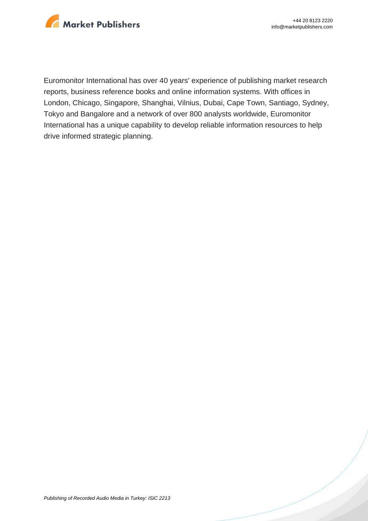

Euromonitor International has over 40 years' experience of publishing market research reports, business reference books and online information systems. With offices in London, Chicago, Singapore, Shanghai, Vilnius, Dubai, Cape Town, Santiago, Sydney, Tokyo and Bangalore and a network of over 800 analysts worldwide, Euromonitor International has a unique capability to develop reliable information resources to help drive informed strategic planning.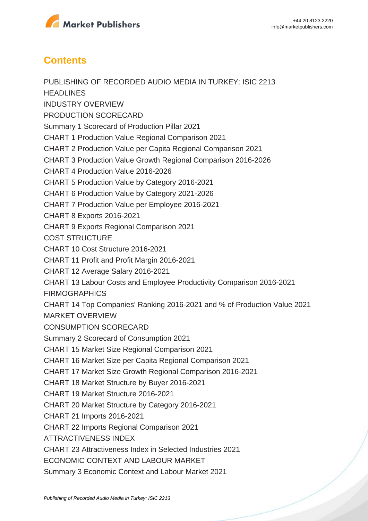

## **Contents**

PUBLISHING OF RECORDED AUDIO MEDIA IN TURKEY: ISIC 2213 **HEADLINES** INDUSTRY OVERVIEW PRODUCTION SCORECARD Summary 1 Scorecard of Production Pillar 2021 CHART 1 Production Value Regional Comparison 2021 CHART 2 Production Value per Capita Regional Comparison 2021 CHART 3 Production Value Growth Regional Comparison 2016-2026 CHART 4 Production Value 2016-2026 CHART 5 Production Value by Category 2016-2021 CHART 6 Production Value by Category 2021-2026 CHART 7 Production Value per Employee 2016-2021 CHART 8 Exports 2016-2021 CHART 9 Exports Regional Comparison 2021 COST STRUCTURE CHART 10 Cost Structure 2016-2021 CHART 11 Profit and Profit Margin 2016-2021 CHART 12 Average Salary 2016-2021 CHART 13 Labour Costs and Employee Productivity Comparison 2016-2021 FIRMOGRAPHICS CHART 14 Top Companies' Ranking 2016-2021 and % of Production Value 2021 MARKET OVERVIEW CONSUMPTION SCORECARD Summary 2 Scorecard of Consumption 2021 CHART 15 Market Size Regional Comparison 2021 CHART 16 Market Size per Capita Regional Comparison 2021 CHART 17 Market Size Growth Regional Comparison 2016-2021 CHART 18 Market Structure by Buyer 2016-2021 CHART 19 Market Structure 2016-2021 CHART 20 Market Structure by Category 2016-2021 CHART 21 Imports 2016-2021 CHART 22 Imports Regional Comparison 2021 ATTRACTIVENESS INDEX CHART 23 Attractiveness Index in Selected Industries 2021 ECONOMIC CONTEXT AND LABOUR MARKET Summary 3 Economic Context and Labour Market 2021